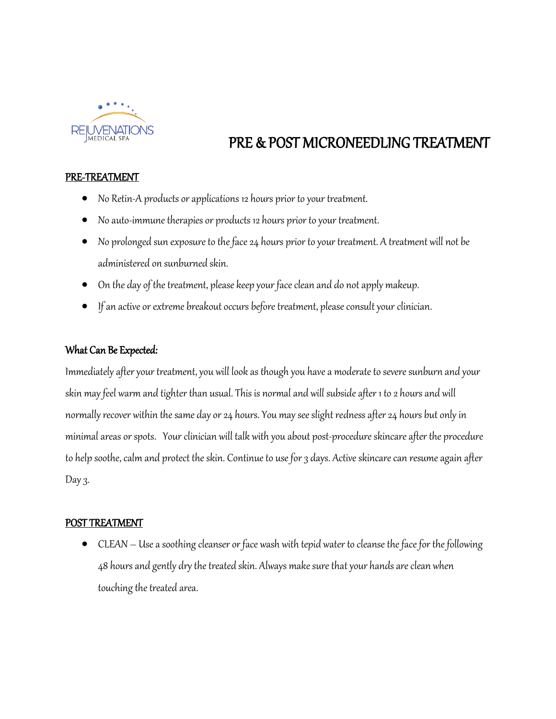

# PRE & POST MICRONEEDLING TREATMENT

#### PRE-TREATMENT

- No Retin-A products or applications 12 hours prior to your treatment.
- No auto-immune therapies or products 12 hours prior to your treatment.
- No prolonged sun exposure to the face 24 hours prior to your treatment. A treatment will not be administered on sunburned skin.
- On the day of the treatment, please keep your face clean and do not apply makeup.
- If an active or extreme breakout occurs before treatment, please consult your clinician.

### What Can Be Expected:

Immediately after your treatment, you will look as though you have a moderate to severe sunburn and your skin may feel warm and tighter than usual. This is normal and will subside after 1 to 2 hours and will normally recover within the same day or 24 hours. You may see slight redness after 24 hours but only in minimal areas or spots. Your clinician will talk with you about post-procedure skincare after the procedure to help soothe, calm and protect the skin. Continue to use for 3 days. Active skincare can resume again after Day  $3$ .

#### POST TREATMENT

• CLEAN – Use a soothing cleanser or face wash with tepid water to cleanse the face for the following 48 hours and gently dry the treated skin. Always make sure that your hands are clean when touching the treated area.